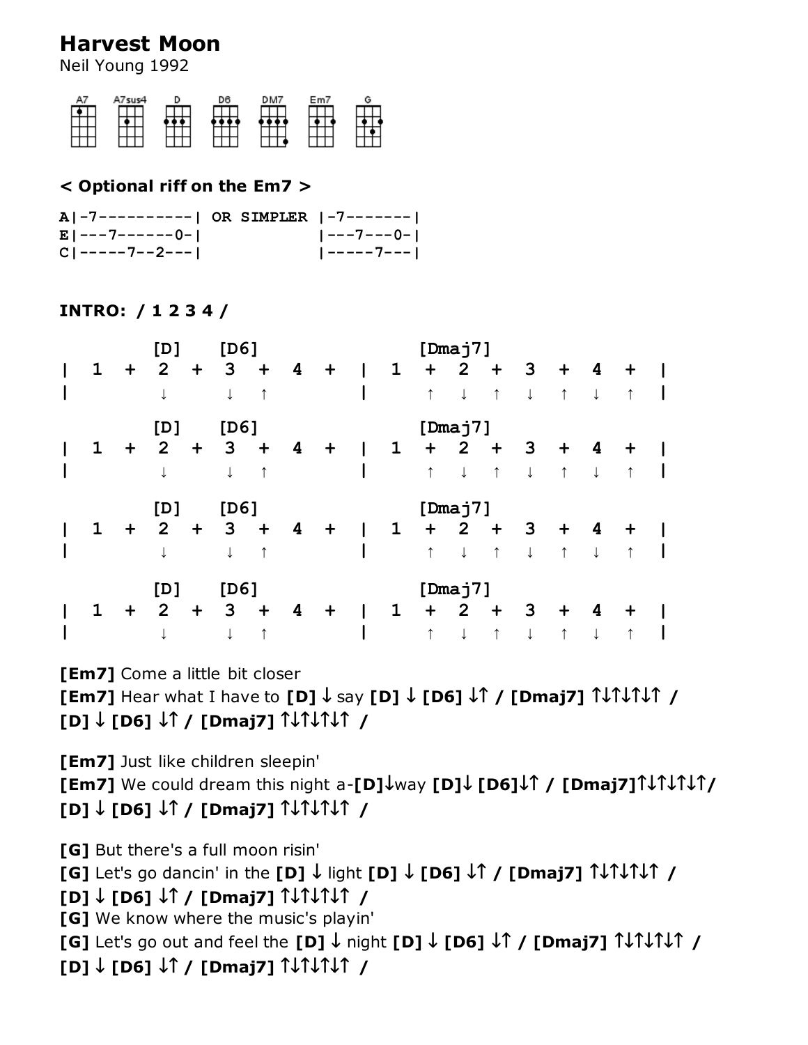# **Harvest Moon**

Neil Young 1992



#### **< Optional riff on the Em7 >**

| A -7----------  OR SIMPLER  -7------- |  |                     |
|---------------------------------------|--|---------------------|
| El---7------0-I                       |  | <u>  ---7---0- </u> |
| $CI$ -----7--2---1                    |  |                     |

#### **INTRO: / 1 2 3 4 /**

|             |           | [D]            |                      | [D6] |            |   |             |              |              |            | [Dmaj7]        |            |              |            |              |           |  |
|-------------|-----------|----------------|----------------------|------|------------|---|-------------|--------------|--------------|------------|----------------|------------|--------------|------------|--------------|-----------|--|
| $\mathbf 1$ | $\ddot{}$ | $\mathbf{2}$   | $\ddot{\phantom{1}}$ | 3    | $\ddot{}$  | 4 | $+$         | $\mathbf{I}$ | $\mathbf{1}$ | $\ddot{}$  | $\mathbf{2}$   | $\ddagger$ | 3            | $\ddot{}$  | 4            | $\ddot{}$ |  |
|             |           |                |                      |      | ↑          |   |             |              |              | $\uparrow$ |                | $\uparrow$ | $\downarrow$ | $\uparrow$ | $\downarrow$ |           |  |
|             |           | [D]            |                      | [D6] |            |   |             |              |              |            | [Dmaj7]        |            |              |            |              |           |  |
| 1           | $\ddot{}$ | $\mathbf{2}$   | $\ddot{}$            | 3    | $\ddot{}$  | 4 | $\mathbf +$ | L            | $\mathbf 1$  | $\ddot{}$  | $\mathbf{2}$   | $\ddot{}$  | 3            | $\ddot{}$  | 4            | $\ddag$   |  |
|             |           |                |                      |      | ↑          |   |             |              |              | $\uparrow$ |                | $\uparrow$ |              | $\uparrow$ |              | ↑         |  |
|             |           |                |                      |      |            |   |             |              |              |            |                |            |              |            |              |           |  |
|             |           | [D]            |                      | [D6] |            |   |             |              |              |            | [Dmaj7]        |            |              |            |              |           |  |
| $\mathbf 1$ | $\ddot{}$ | $\mathbf{2}$   | $\ddot{}$            | 3    | $\ddagger$ | 4 | $\ddot{}$   | I            | $\mathbf 1$  | $\ddot{}$  | $\overline{2}$ | $\ddot{}$  | 3            | $\ddot{}$  | 4            | $\ddag$   |  |
|             |           |                |                      |      |            |   |             |              |              | $\uparrow$ |                | $\uparrow$ |              | $\uparrow$ |              |           |  |
|             |           | [D]            |                      | [D6] |            |   |             |              |              |            | [Dmaj7]        |            |              |            |              |           |  |
| 1           | $\ddot{}$ | $\overline{2}$ | $\ddot{}$            | 3    | $\div$     | 4 | $\ddag$     |              | $\mathbf 1$  | $\ddot{}$  | $\mathbf{2}$   | $\ddot{}$  | 3            | $\div$     | 4            | $\ddot{}$ |  |

### **[Em7]** Come a little bit closer

**[Em7]** Hear what I have to **[D] ↓** say **[D] ↓ [D6] ↓↑ / [Dmaj7] ↑↓↑↓↑↓↑ / [D] ↓ [D6] ↓↑ / [Dmaj7] ↑↓↑↓↑↓↑ /**

**[Em7]** Just like children sleepin'

**[Em7]** We could dream this night a-**[D]↓**way **[D]↓ [D6]↓↑ / [Dmaj7]↑↓↑↓↑↓↑/ [D] ↓ [D6] ↓↑ / [Dmaj7] ↑↓↑↓↑↓↑ /**

**[G]** But there's a full moon risin'

**[G]** Let's go dancin' in the **[D] ↓** light **[D] ↓ [D6] ↓↑ / [Dmaj7] ↑↓↑↓↑↓↑ /**

## **[D] ↓ [D6] ↓↑ / [Dmaj7] ↑↓↑↓↑↓↑ /**

**[G]** We know where the music's playin'

**[G]** Let's go out and feel the **[D] ↓** night **[D] ↓ [D6] ↓↑ / [Dmaj7] ↑↓↑↓↑↓↑ /**

**[D] ↓ [D6] ↓↑ / [Dmaj7] ↑↓↑↓↑↓↑ /**